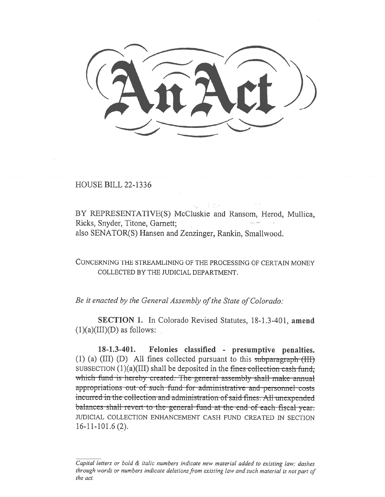HOUSE BILL 22-1336

BY REPRESENTATIVE(S) McCluskie and Ransom, Herod, Mullica, Ricks, Snyder, Titone, Garnett; also SENATOR(S) Hansen and Zenzinger, Rankin, Smallwood.

CONCERNING THE STREAMLINING OF THE PROCESSING OF CERTAIN MONEY COLLECTED BY THE JUDICIAL DEPARTMENT.

Be it enacted by the General Assembly of the State of Colorado:

SECTION 1. In Colorado Revised Statutes, 18-1.3-401, amend  $(1)(a)(III)(D)$  as follows:

18-1.3-401. Felonies classified - presumptive penalties. (1) (a) (III) (D) All fines collected pursuant to this subparagraph (III) SUBSECTION  $(1)(a)(III)$  shall be deposited in the fines collection cash fund, which fund is hereby created. The-general assembly shall make annual appropriations out of such fund for administrative and personnel costs incurred in the collection and administration of said fines. All unexpended balances-shall-revert-to-the-general-fund-at-the-end-of-each-fiscal-year. JUDICIAL COLLECTION ENHANCEMENT CASH FUND CREATED IN SECTION 16-11-101.6 (2).

Capital letters or bold & italic numbers indicate new material added to existing law; dashes through words or numbers indicate deletions from existing law and such material is not part of the act.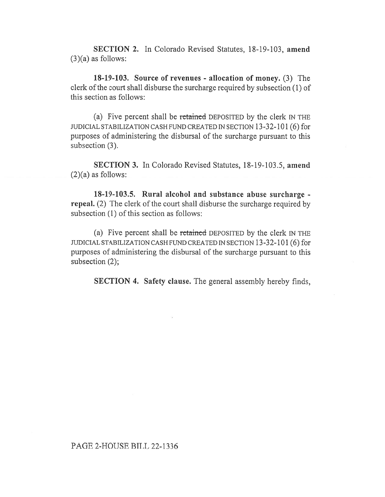SECTION 2. In Colorado Revised Statutes, 18-19-103, amend  $(3)(a)$  as follows:

18-19-103. Source of revenues - allocation of money. (3) The clerk of the court shall disburse the surcharge required by subsection (1) of this section as follows:

(a) Five percent shall be retained DEPOSITED by the clerk IN THE JUDICIAL STABILIZATION CASH FUND CREATED IN SECTION 13-32-101 (6) for purposes of administering the disbursal of the surcharge pursuant to this subsection (3).

SECTION 3. In Colorado Revised Statutes, 18-19-103.5, amend  $(2)(a)$  as follows:

18-19-103.5. Rural alcohol and substance abuse surcharge repeal. (2) The clerk of the court shall disburse the surcharge required by subsection (1) of this section as follows:

(a) Five percent shall be retained DEPOSITED by the clerk IN THE JUDICIAL STABILIZATION CASH FUND CREATED IN SECTION 13-32-101 (6) for purposes of administering the disbursal of the surcharge pursuant to this subsection (2);

SECTION 4. Safety clause. The general assembly hereby finds,